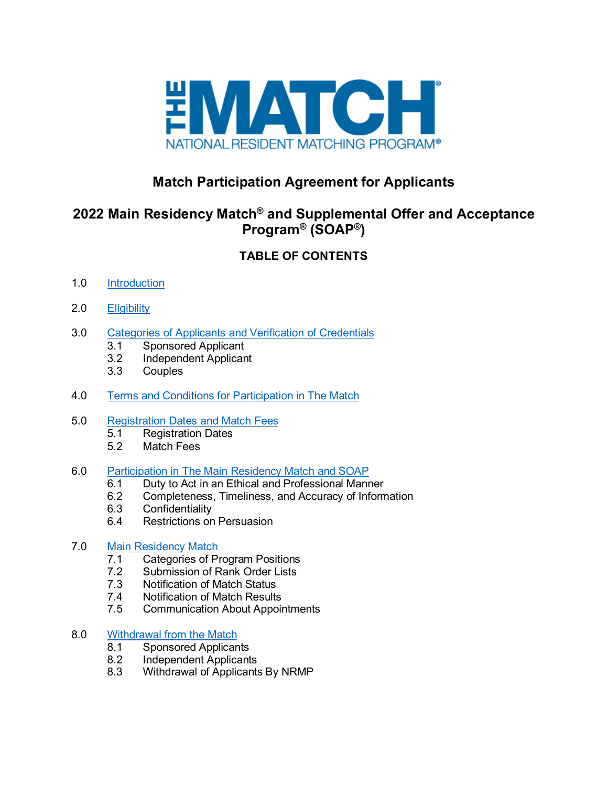

# **Match Participation Agreement for Applicants**

# **2022 Main Residency Match® and Supplemental Offer and Acceptance Program® (SOAP®)**

# **TABLE OF CONTENTS**

- 1.0 [Introduction](#page-2-0)
- 2.0 [Eligibility](#page-2-1)
- 3.0 [Categories of Applicants and Verification of Credentials](#page-3-0)
	- 3.1 Sponsored Applicant
	- 3.2 Independent Applicant<br>3.3 Couples
	- **Couples**
- 4.0 [Terms and Conditions for Participation in The Match](#page-5-0)
- 5.0 [Registration Dates and Match Fees](#page-6-0)
	- 5.1 Registration Dates
	- 5.2 Match Fees

#### 6.0 [Participation in The Main Residency Match and](#page-7-0) SOAP

- 6.1 Duty to Act in an Ethical and Professional Manner
- 6.2 Completeness, Timeliness, and Accuracy of Information<br>6.3 Confidentiality
- **Confidentiality**
- 6.4 Restrictions on Persuasion

# 7.0 [Main Residency Match](#page-9-0)<br>7.1 Categories of P

- 7.1 Categories of Program Positions<br>7.2 Submission of Rank Order Lists
- 7.2 Submission of Rank Order Lists<br>7.3 Notification of Match Status
- 7.3 Notification of Match Status<br>7.4 Notification of Match Results
- Notification of Match Results
- 7.5 Communication About Appointments

#### 8.0 [Withdrawal from the Match](#page-12-0)

- 8.1 Sponsored Applicants<br>8.2 Independent Applicant
- Independent Applicants
- 8.3 Withdrawal of Applicants By NRMP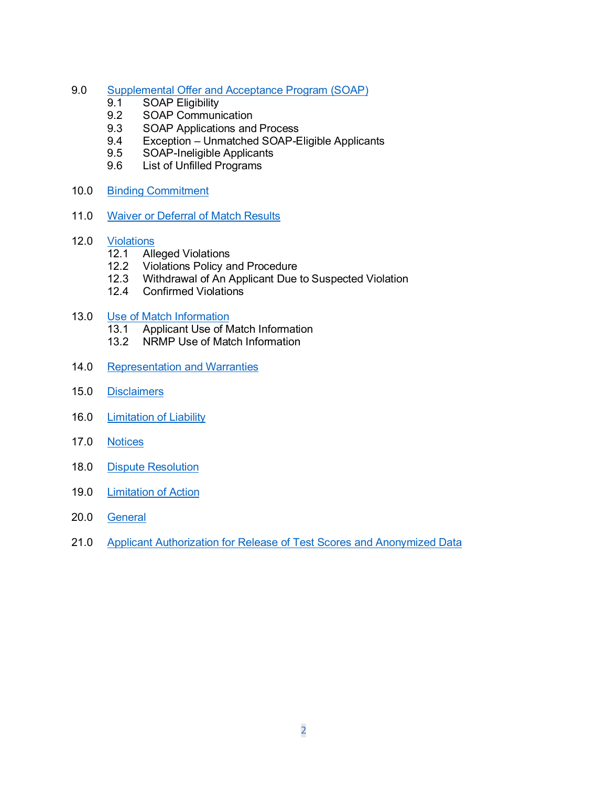- 9.0 [Supplemental Offer and Acceptance Program \(SOAP\)](#page-15-0)
	- 9.1 SOAP Eligibility<br>9.2 SOAP Communi
	- SOAP Communication
	- 9.3 SOAP Applications and Process<br>9.4 Exception Unmatched SOAP-E
	- 9.4 Exception Unmatched SOAP-Eligible Applicants<br>9.5 SOAP-Ineligible Applicants
	- SOAP-Ineligible Applicants
	- 9.6 List of Unfilled Programs
- 10.0 [Binding Commitment](#page-17-0)
- 11.0 [Waiver or Deferral of Match Results](#page-18-0)
- 12.0 <u>[Violations](#page-19-0)</u><br>12.1 Alle
	- 12.1 Alleged Violations<br>12.2 Violations Policy a
	- 12.2 Violations Policy and Procedure<br>12.3 Withdrawal of An Applicant Due
	- Withdrawal of An Applicant Due to Suspected Violation
	- 12.4 Confirmed Violations
- 13.0 [Use of Match Information](#page-21-0)<br>13.1 Applicant Use of M
	- Applicant Use of Match Information
	- 13.2 NRMP Use of Match Information
- 14.0 [Representation and Warranties](#page-23-0)
- 15.0 [Disclaimers](#page-23-1)
- 16.0 [Limitation of Liability](#page-24-0)
- 17.0 [Notices](#page-24-1)
- 18.0 [Dispute Resolution](#page-24-2)
- 19.0 [Limitation of Action](#page-25-0)
- 20.0 [General](#page-26-0)
- 21.0 [Applicant Authorization for Release of Test Scores and](#page-26-1) Anonymized Data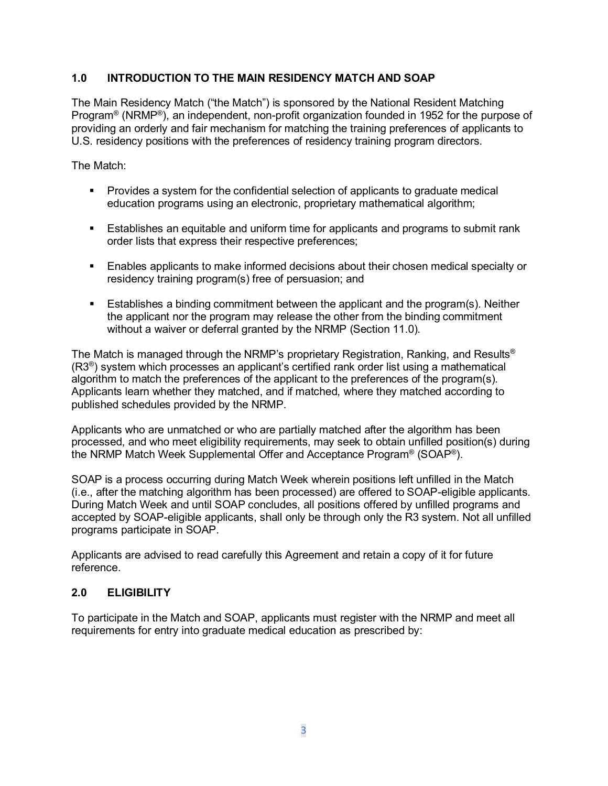# <span id="page-2-0"></span>**1.0 INTRODUCTION TO THE MAIN RESIDENCY MATCH AND SOAP**

The Main Residency Match ("the Match") is sponsored by the National Resident Matching Program® (NRMP®), an independent, non-profit organization founded in 1952 for the purpose of providing an orderly and fair mechanism for matching the training preferences of applicants to U.S. residency positions with the preferences of residency training program directors.

The Match:

- Provides a system for the confidential selection of applicants to graduate medical education programs using an electronic, proprietary mathematical algorithm;
- **Establishes an equitable and uniform time for applicants and programs to submit rank** order lists that express their respective preferences;
- Enables applicants to make informed decisions about their chosen medical specialty or residency training program(s) free of persuasion; and
- Establishes a binding commitment between the applicant and the program(s). Neither the applicant nor the program may release the other from the binding commitment without a waiver or deferral granted by the NRMP (Section 11.0).

The Match is managed through the NRMP's proprietary Registration, Ranking, and Results® (R3®) system which processes an applicant's certified rank order list using a mathematical algorithm to match the preferences of the applicant to the preferences of the program(s). Applicants learn whether they matched, and if matched, where they matched according to published schedules provided by the NRMP.

Applicants who are unmatched or who are partially matched after the algorithm has been processed, and who meet eligibility requirements, may seek to obtain unfilled position(s) during the NRMP Match Week Supplemental Offer and Acceptance Program® (SOAP®).

SOAP is a process occurring during Match Week wherein positions left unfilled in the Match (i.e., after the matching algorithm has been processed) are offered to SOAP-eligible applicants. During Match Week and until SOAP concludes, all positions offered by unfilled programs and accepted by SOAP-eligible applicants, shall only be through only the R3 system. Not all unfilled programs participate in SOAP.

Applicants are advised to read carefully this Agreement and retain a copy of it for future reference.

#### <span id="page-2-1"></span>**2.0 ELIGIBILITY**

To participate in the Match and SOAP, applicants must register with the NRMP and meet all requirements for entry into graduate medical education as prescribed by: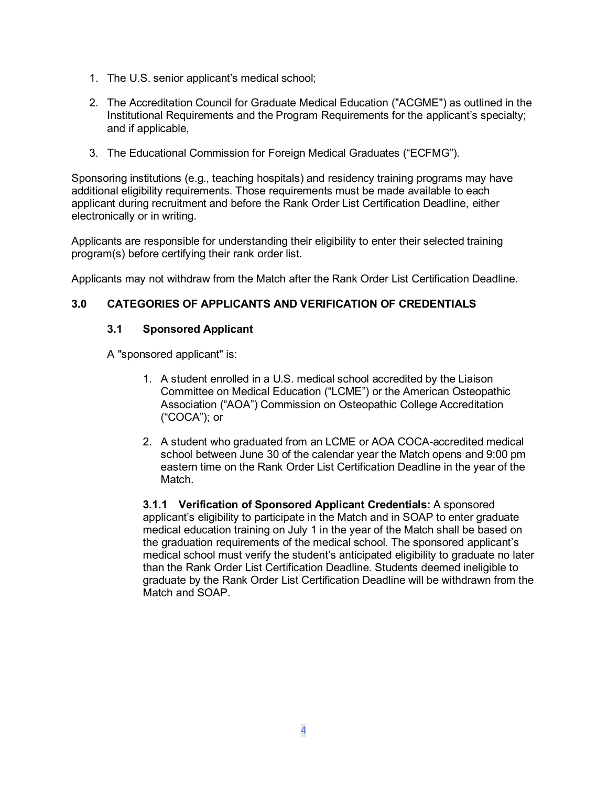- 1. The U.S. senior applicant's medical school;
- 2. The Accreditation Council for Graduate Medical Education ("ACGME") as outlined in the Institutional Requirements and the Program Requirements for the applicant's specialty; and if applicable,
- 3. The Educational Commission for Foreign Medical Graduates ("ECFMG").

Sponsoring institutions (e.g., teaching hospitals) and residency training programs may have additional eligibility requirements. Those requirements must be made available to each applicant during recruitment and before the Rank Order List Certification Deadline, either electronically or in writing.

Applicants are responsible for understanding their eligibility to enter their selected training program(s) before certifying their rank order list.

Applicants may not withdraw from the Match after the Rank Order List Certification Deadline.

# <span id="page-3-0"></span>**3.0 CATEGORIES OF APPLICANTS AND VERIFICATION OF CREDENTIALS**

# **3.1 Sponsored Applicant**

A "sponsored applicant" is:

- 1. A student enrolled in a U.S. medical school accredited by the Liaison Committee on Medical Education ("LCME") or the American Osteopathic Association ("AOA") Commission on Osteopathic College Accreditation ("COCA"); or
- 2. A student who graduated from an LCME or AOA COCA-accredited medical school between June 30 of the calendar year the Match opens and 9:00 pm eastern time on the Rank Order List Certification Deadline in the year of the Match.

**3.1.1 Verification of Sponsored Applicant Credentials:** A sponsored applicant's eligibility to participate in the Match and in SOAP to enter graduate medical education training on July 1 in the year of the Match shall be based on the graduation requirements of the medical school. The sponsored applicant's medical school must verify the student's anticipated eligibility to graduate no later than the Rank Order List Certification Deadline. Students deemed ineligible to graduate by the Rank Order List Certification Deadline will be withdrawn from the Match and SOAP.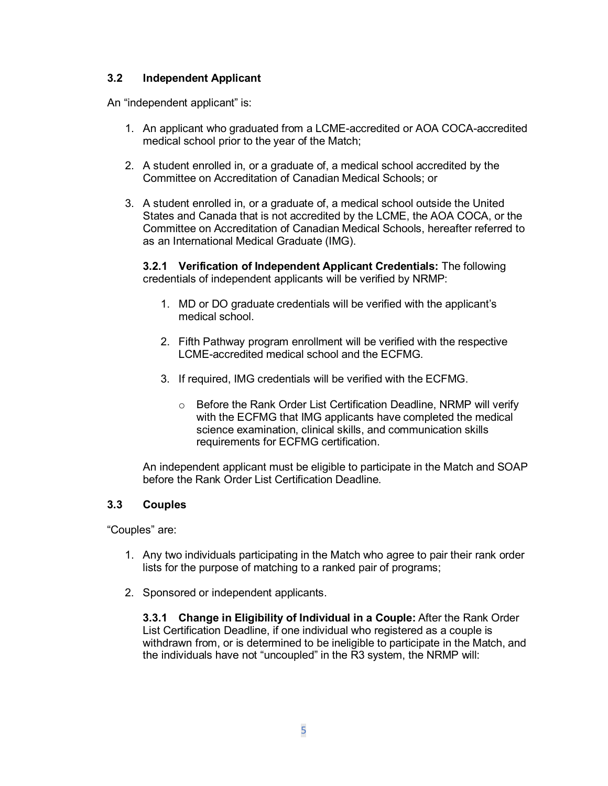# **3.2 Independent Applicant**

An "independent applicant" is:

- 1. An applicant who graduated from a LCME-accredited or AOA COCA-accredited medical school prior to the year of the Match;
- 2. A student enrolled in, or a graduate of, a medical school accredited by the Committee on Accreditation of Canadian Medical Schools; or
- 3. A student enrolled in, or a graduate of, a medical school outside the United States and Canada that is not accredited by the LCME, the AOA COCA, or the Committee on Accreditation of Canadian Medical Schools, hereafter referred to as an International Medical Graduate (IMG).

**3.2.1 Verification of Independent Applicant Credentials:** The following credentials of independent applicants will be verified by NRMP:

- 1. MD or DO graduate credentials will be verified with the applicant's medical school.
- 2. Fifth Pathway program enrollment will be verified with the respective LCME-accredited medical school and the ECFMG.
- 3. If required, IMG credentials will be verified with the ECFMG.
	- o Before the Rank Order List Certification Deadline, NRMP will verify with the ECFMG that IMG applicants have completed the medical science examination, clinical skills, and communication skills requirements for ECFMG certification.

An independent applicant must be eligible to participate in the Match and SOAP before the Rank Order List Certification Deadline.

#### **3.3 Couples**

"Couples" are:

- 1. Any two individuals participating in the Match who agree to pair their rank order lists for the purpose of matching to a ranked pair of programs;
- 2. Sponsored or independent applicants.

**3.3.1 Change in Eligibility of Individual in a Couple:** After the Rank Order List Certification Deadline, if one individual who registered as a couple is withdrawn from, or is determined to be ineligible to participate in the Match, and the individuals have not "uncoupled" in the R3 system, the NRMP will: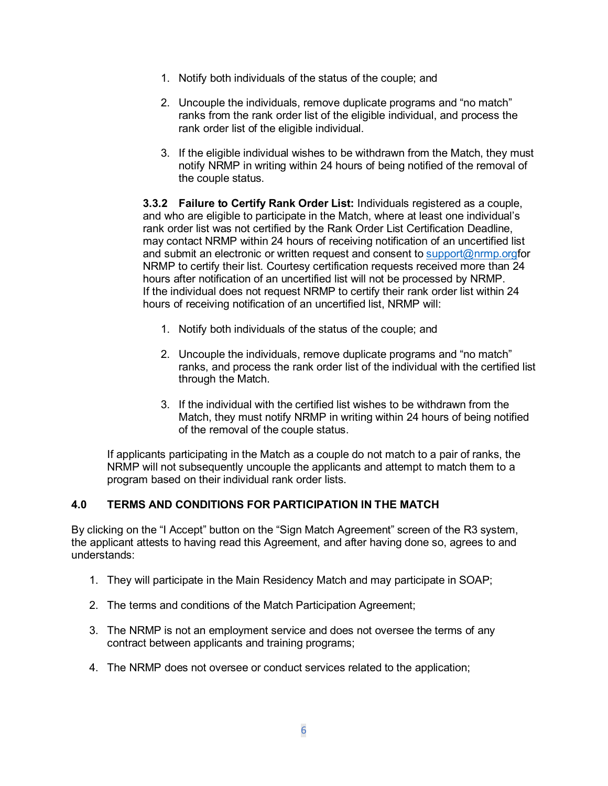- 1. Notify both individuals of the status of the couple; and
- 2. Uncouple the individuals, remove duplicate programs and "no match" ranks from the rank order list of the eligible individual, and process the rank order list of the eligible individual.
- 3. If the eligible individual wishes to be withdrawn from the Match, they must notify NRMP in writing within 24 hours of being notified of the removal of the couple status.

**3.3.2 Failure to Certify Rank Order List:** Individuals registered as a couple, and who are eligible to participate in the Match, where at least one individual's rank order list was not certified by the Rank Order List Certification Deadline, may contact NRMP within 24 hours of receiving notification of an uncertified list and submit an electronic or written request and consent to [support@nrmp.orgf](mailto:support@nrmp.org)or NRMP to certify their list. Courtesy certification requests received more than 24 hours after notification of an uncertified list will not be processed by NRMP. If the individual does not request NRMP to certify their rank order list within 24 hours of receiving notification of an uncertified list, NRMP will:

- 1. Notify both individuals of the status of the couple; and
- 2. Uncouple the individuals, remove duplicate programs and "no match" ranks, and process the rank order list of the individual with the certified list through the Match.
- 3. If the individual with the certified list wishes to be withdrawn from the Match, they must notify NRMP in writing within 24 hours of being notified of the removal of the couple status.

If applicants participating in the Match as a couple do not match to a pair of ranks, the NRMP will not subsequently uncouple the applicants and attempt to match them to a program based on their individual rank order lists.

# <span id="page-5-0"></span>**4.0 TERMS AND CONDITIONS FOR PARTICIPATION IN THE MATCH**

By clicking on the "I Accept" button on the "Sign Match Agreement" screen of the R3 system, the applicant attests to having read this Agreement, and after having done so, agrees to and understands:

- 1. They will participate in the Main Residency Match and may participate in SOAP;
- 2. The terms and conditions of the Match Participation Agreement;
- 3. The NRMP is not an employment service and does not oversee the terms of any contract between applicants and training programs;
- 4. The NRMP does not oversee or conduct services related to the application;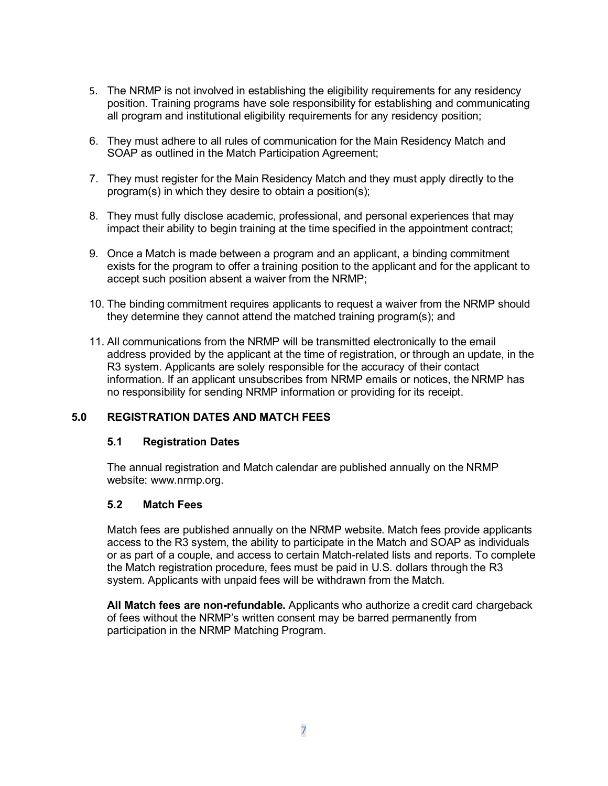- 5. The NRMP is not involved in establishing the eligibility requirements for any residency position. Training programs have sole responsibility for establishing and communicating all program and institutional eligibility requirements for any residency position;
- 6. They must adhere to all rules of communication for the Main Residency Match and SOAP as outlined in the Match Participation Agreement;
- 7. They must register for the Main Residency Match and they must apply directly to the program(s) in which they desire to obtain a position(s);
- 8. They must fully disclose academic, professional, and personal experiences that may impact their ability to begin training at the time specified in the appointment contract;
- 9. Once a Match is made between a program and an applicant, a binding commitment exists for the program to offer a training position to the applicant and for the applicant to accept such position absent a waiver from the NRMP;
- 10. The binding commitment requires applicants to request a waiver from the NRMP should they determine they cannot attend the matched training program(s); and
- 11. All communications from the NRMP will be transmitted electronically to the email address provided by the applicant at the time of registration, or through an update, in the R3 system. Applicants are solely responsible for the accuracy of their contact information. If an applicant unsubscribes from NRMP emails or notices, the NRMP has no responsibility for sending NRMP information or providing for its receipt.

#### <span id="page-6-0"></span>**5.0 REGISTRATION DATES AND MATCH FEES**

#### **5.1 Registration Dates**

The annual registration and Match calendar are published annually on the NRMP website: www.nrmp.org.

#### **5.2 Match Fees**

Match fees are published annually on the NRMP website. Match fees provide applicants access to the R3 system, the ability to participate in the Match and SOAP as individuals or as part of a couple, and access to certain Match-related lists and reports. To complete the Match registration procedure, fees must be paid in U.S. dollars through the R3 system. Applicants with unpaid fees will be withdrawn from the Match.

**All Match fees are non-refundable.** Applicants who authorize a credit card chargeback of fees without the NRMP's written consent may be barred permanently from participation in the NRMP Matching Program.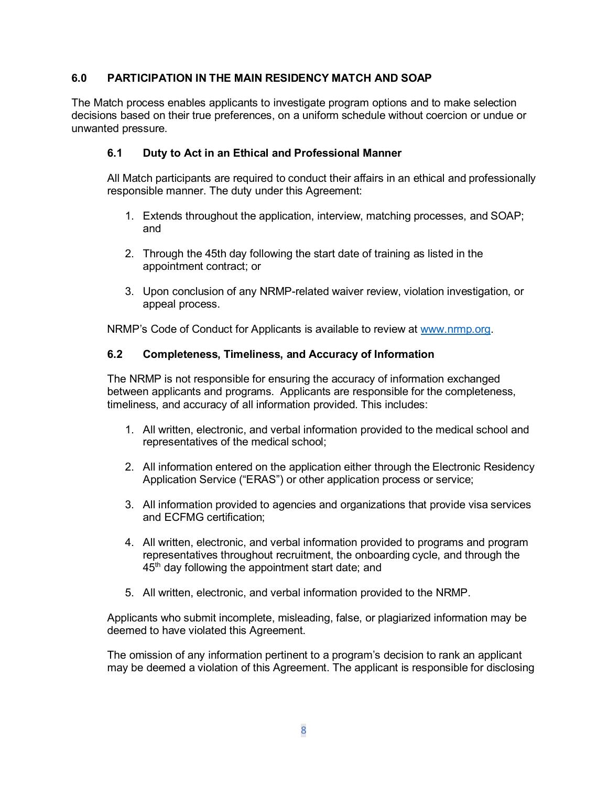# <span id="page-7-0"></span>**6.0 PARTICIPATION IN THE MAIN RESIDENCY MATCH AND SOAP**

The Match process enables applicants to investigate program options and to make selection decisions based on their true preferences, on a uniform schedule without coercion or undue or unwanted pressure.

# **6.1 Duty to Act in an Ethical and Professional Manner**

All Match participants are required to conduct their affairs in an ethical and professionally responsible manner. The duty under this Agreement:

- 1. Extends throughout the application, interview, matching processes, and SOAP; and
- 2. Through the 45th day following the start date of training as listed in the appointment contract; or
- 3. Upon conclusion of any NRMP-related waiver review, violation investigation, or appeal process.

NRMP's Code of Conduct for Applicants is available to review at www.nrmp.org.

#### **6.2 Completeness, Timeliness, and Accuracy of Information**

The NRMP is not responsible for ensuring the accuracy of information exchanged between applicants and programs. Applicants are responsible for the completeness, timeliness, and accuracy of all information provided. This includes:

- 1. All written, electronic, and verbal information provided to the medical school and representatives of the medical school;
- 2. All information entered on the application either through the Electronic Residency Application Service ("ERAS") or other application process or service;
- 3. All information provided to agencies and organizations that provide visa services and ECFMG certification;
- 4. All written, electronic, and verbal information provided to programs and program representatives throughout recruitment, the onboarding cycle, and through the 45<sup>th</sup> day following the appointment start date; and
- 5. All written, electronic, and verbal information provided to the NRMP.

Applicants who submit incomplete, misleading, false, or plagiarized information may be deemed to have violated this Agreement.

The omission of any information pertinent to a program's decision to rank an applicant may be deemed a violation of this Agreement. The applicant is responsible for disclosing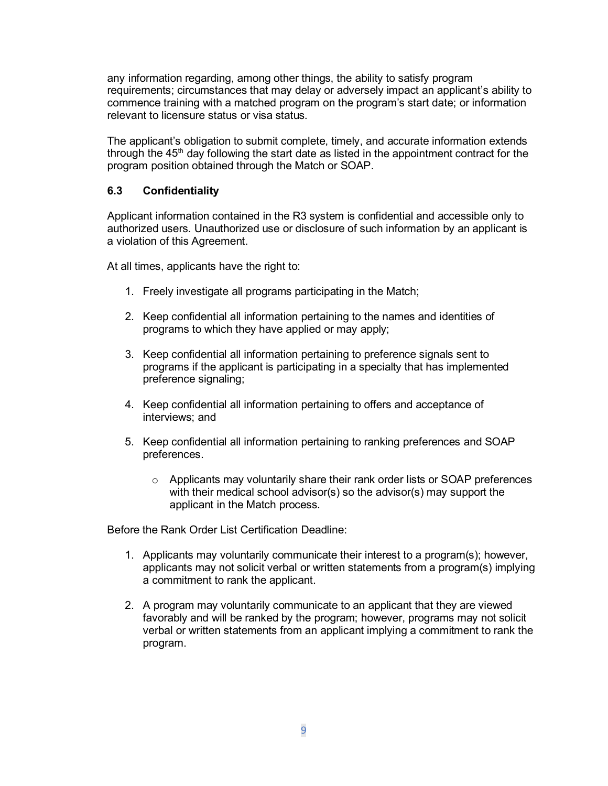any information regarding, among other things, the ability to satisfy program requirements; circumstances that may delay or adversely impact an applicant's ability to commence training with a matched program on the program's start date; or information relevant to licensure status or visa status.

The applicant's obligation to submit complete, timely, and accurate information extends through the  $45<sup>th</sup>$  day following the start date as listed in the appointment contract for the program position obtained through the Match or SOAP.

# **6.3 Confidentiality**

Applicant information contained in the R3 system is confidential and accessible only to authorized users. Unauthorized use or disclosure of such information by an applicant is a violation of this Agreement.

At all times, applicants have the right to:

- 1. Freely investigate all programs participating in the Match;
- 2. Keep confidential all information pertaining to the names and identities of programs to which they have applied or may apply;
- 3. Keep confidential all information pertaining to preference signals sent to programs if the applicant is participating in a specialty that has implemented preference signaling;
- 4. Keep confidential all information pertaining to offers and acceptance of interviews; and
- 5. Keep confidential all information pertaining to ranking preferences and SOAP preferences.
	- $\circ$  Applicants may voluntarily share their rank order lists or SOAP preferences with their medical school advisor(s) so the advisor(s) may support the applicant in the Match process.

Before the Rank Order List Certification Deadline:

- 1. Applicants may voluntarily communicate their interest to a program(s); however, applicants may not solicit verbal or written statements from a program(s) implying a commitment to rank the applicant.
- 2. A program may voluntarily communicate to an applicant that they are viewed favorably and will be ranked by the program; however, programs may not solicit verbal or written statements from an applicant implying a commitment to rank the program.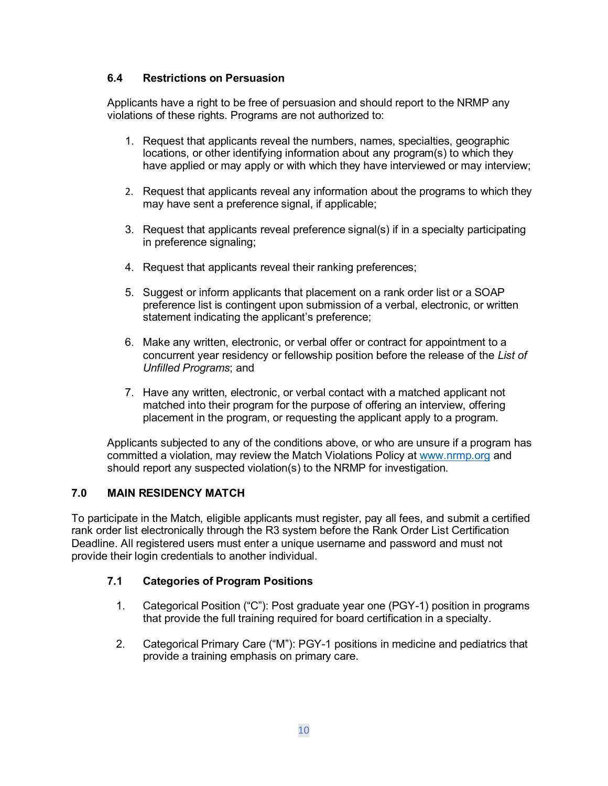# **6.4 Restrictions on Persuasion**

Applicants have a right to be free of persuasion and should report to the NRMP any violations of these rights. Programs are not authorized to:

- 1. Request that applicants reveal the numbers, names, specialties, geographic locations, or other identifying information about any program(s) to which they have applied or may apply or with which they have interviewed or may interview;
- 2. Request that applicants reveal any information about the programs to which they may have sent a preference signal, if applicable;
- 3. Request that applicants reveal preference signal(s) if in a specialty participating in preference signaling;
- 4. Request that applicants reveal their ranking preferences;
- 5. Suggest or inform applicants that placement on a rank order list or a SOAP preference list is contingent upon submission of a verbal, electronic, or written statement indicating the applicant's preference;
- 6. Make any written, electronic, or verbal offer or contract for appointment to a concurrent year residency or fellowship position before the release of the *List of Unfilled Programs*; and
- 7. Have any written, electronic, or verbal contact with a matched applicant not matched into their program for the purpose of offering an interview, offering placement in the program, or requesting the applicant apply to a program.

Applicants subjected to any of the conditions above, or who are unsure if a program has committed a violation, may review the Match Violations Policy at [www.nrmp.org](http://www.nrmp.org/) and should report any suspected violation(s) to the NRMP for investigation.

# <span id="page-9-0"></span>**7.0 MAIN RESIDENCY MATCH**

To participate in the Match, eligible applicants must register, pay all fees, and submit a certified rank order list electronically through the R3 system before the Rank Order List Certification Deadline. All registered users must enter a unique username and password and must not provide their login credentials to another individual.

# **7.1 Categories of Program Positions**

- 1. Categorical Position ("C"): Post graduate year one (PGY-1) position in programs that provide the full training required for board certification in a specialty.
- 2. Categorical Primary Care ("M"): PGY-1 positions in medicine and pediatrics that provide a training emphasis on primary care.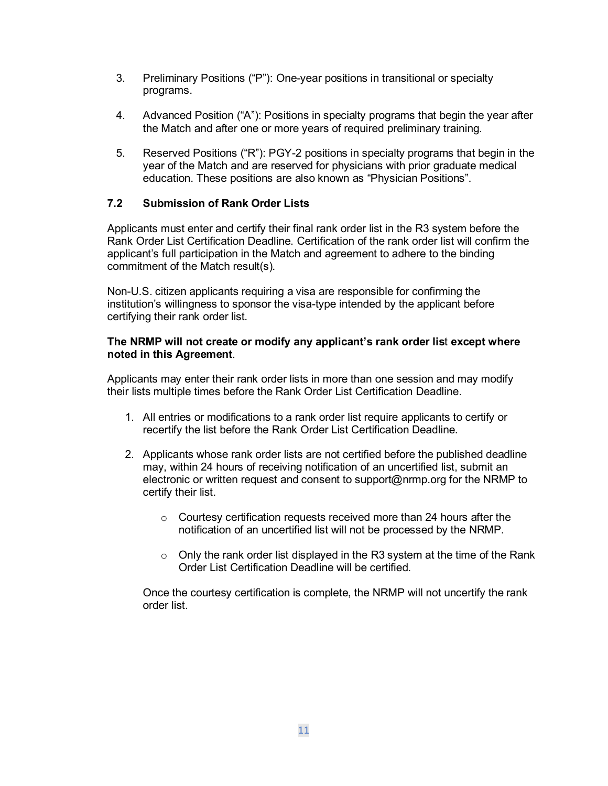- 3. Preliminary Positions ("P"): One-year positions in transitional or specialty programs.
- 4. Advanced Position ("A"): Positions in specialty programs that begin the year after the Match and after one or more years of required preliminary training.
- 5. Reserved Positions ("R"): PGY-2 positions in specialty programs that begin in the year of the Match and are reserved for physicians with prior graduate medical education. These positions are also known as "Physician Positions".

# **7.2 Submission of Rank Order Lists**

Applicants must enter and certify their final rank order list in the R3 system before the Rank Order List Certification Deadline. Certification of the rank order list will confirm the applicant's full participation in the Match and agreement to adhere to the binding commitment of the Match result(s).

Non-U.S. citizen applicants requiring a visa are responsible for confirming the institution's willingness to sponsor the visa-type intended by the applicant before certifying their rank order list.

#### **The NRMP will not create or modify any applicant's rank order lis**t **except where noted in this Agreement**.

Applicants may enter their rank order lists in more than one session and may modify their lists multiple times before the Rank Order List Certification Deadline.

- 1. All entries or modifications to a rank order list require applicants to certify or recertify the list before the Rank Order List Certification Deadline.
- 2. Applicants whose rank order lists are not certified before the published deadline may, within 24 hours of receiving notification of an uncertified list, submit an electronic or written request and consent to support@nrmp.org for the NRMP to certify their list.
	- o Courtesy certification requests received more than 24 hours after the notification of an uncertified list will not be processed by the NRMP.
	- $\circ$  Only the rank order list displayed in the R3 system at the time of the Rank Order List Certification Deadline will be certified.

Once the courtesy certification is complete, the NRMP will not uncertify the rank order list.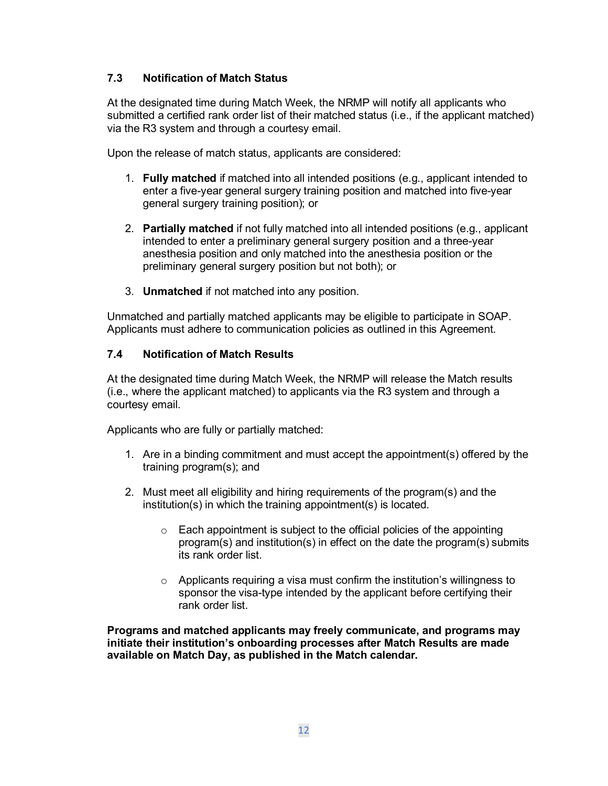# **7.3 Notification of Match Status**

At the designated time during Match Week, the NRMP will notify all applicants who submitted a certified rank order list of their matched status (i.e., if the applicant matched) via the R3 system and through a courtesy email.

Upon the release of match status, applicants are considered:

- 1. **Fully matched** if matched into all intended positions (e.g., applicant intended to enter a five-year general surgery training position and matched into five-year general surgery training position); or
- 2. **Partially matched** if not fully matched into all intended positions (e.g., applicant intended to enter a preliminary general surgery position and a three-year anesthesia position and only matched into the anesthesia position or the preliminary general surgery position but not both); or
- 3. **Unmatched** if not matched into any position.

Unmatched and partially matched applicants may be eligible to participate in SOAP. Applicants must adhere to communication policies as outlined in this Agreement.

#### **7.4 Notification of Match Results**

At the designated time during Match Week, the NRMP will release the Match results (i.e., where the applicant matched) to applicants via the R3 system and through a courtesy email.

Applicants who are fully or partially matched:

- 1. Are in a binding commitment and must accept the appointment(s) offered by the training program(s); and
- 2. Must meet all eligibility and hiring requirements of the program(s) and the institution(s) in which the training appointment(s) is located.
	- $\circ$  Each appointment is subject to the official policies of the appointing program(s) and institution(s) in effect on the date the program(s) submits its rank order list.
	- o Applicants requiring a visa must confirm the institution's willingness to sponsor the visa-type intended by the applicant before certifying their rank order list.

**Programs and matched applicants may freely communicate, and programs may initiate their institution's onboarding processes after Match Results are made available on Match Day, as published in the Match calendar.**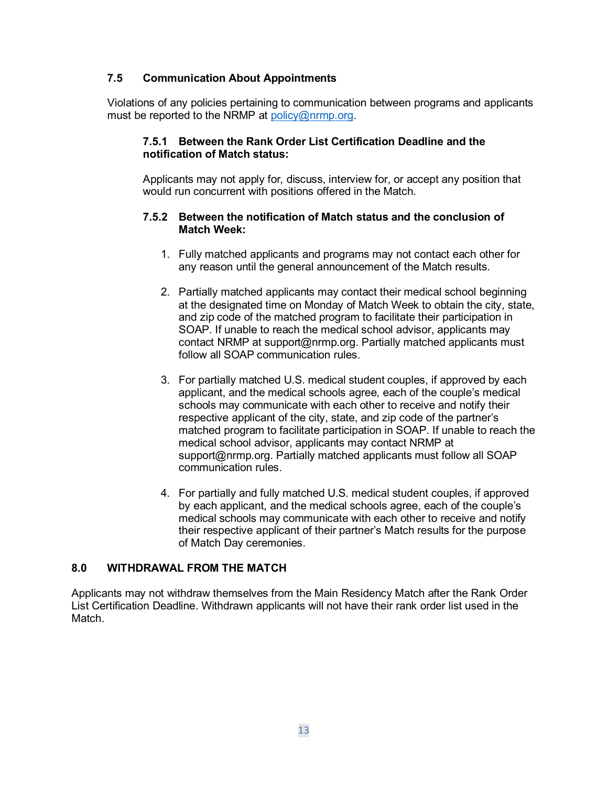#### **7.5 Communication About Appointments**

Violations of any policies pertaining to communication between programs and applicants must be reported to the NRMP at [policy@nrmp.org.](mailto:policy@nrmp.org)

#### **7.5.1 Between the Rank Order List Certification Deadline and the notification of Match status:**

Applicants may not apply for, discuss, interview for, or accept any position that would run concurrent with positions offered in the Match.

#### **7.5.2 Between the notification of Match status and the conclusion of Match Week:**

- 1. Fully matched applicants and programs may not contact each other for any reason until the general announcement of the Match results.
- 2. Partially matched applicants may contact their medical school beginning at the designated time on Monday of Match Week to obtain the city, state, and zip code of the matched program to facilitate their participation in SOAP. If unable to reach the medical school advisor, applicants may contact NRMP at support@nrmp.org. Partially matched applicants must follow all SOAP communication rules.
- 3. For partially matched U.S. medical student couples, if approved by each applicant, and the medical schools agree, each of the couple's medical schools may communicate with each other to receive and notify their respective applicant of the city, state, and zip code of the partner's matched program to facilitate participation in SOAP. If unable to reach the medical school advisor, applicants may contact NRMP at support@nrmp.org. Partially matched applicants must follow all SOAP communication rules.
- 4. For partially and fully matched U.S. medical student couples, if approved by each applicant, and the medical schools agree, each of the couple's medical schools may communicate with each other to receive and notify their respective applicant of their partner's Match results for the purpose of Match Day ceremonies.

#### <span id="page-12-0"></span>**8.0 WITHDRAWAL FROM THE MATCH**

Applicants may not withdraw themselves from the Main Residency Match after the Rank Order List Certification Deadline. Withdrawn applicants will not have their rank order list used in the Match.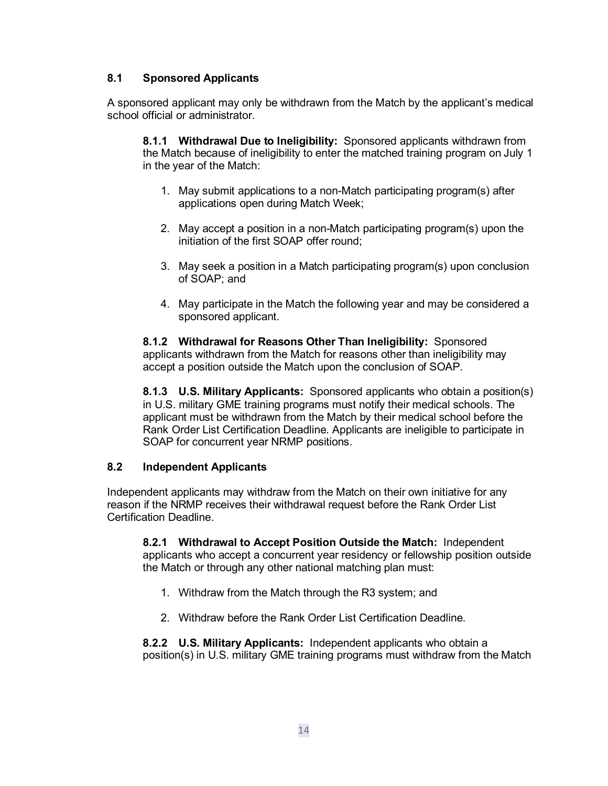# **8.1 Sponsored Applicants**

A sponsored applicant may only be withdrawn from the Match by the applicant's medical school official or administrator.

**8.1.1 Withdrawal Due to Ineligibility:** Sponsored applicants withdrawn from the Match because of ineligibility to enter the matched training program on July 1 in the year of the Match:

- 1. May submit applications to a non-Match participating program(s) after applications open during Match Week;
- 2. May accept a position in a non-Match participating program(s) upon the initiation of the first SOAP offer round;
- 3. May seek a position in a Match participating program(s) upon conclusion of SOAP; and
- 4. May participate in the Match the following year and may be considered a sponsored applicant.

**8.1.2 Withdrawal for Reasons Other Than Ineligibility:** Sponsored applicants withdrawn from the Match for reasons other than ineligibility may accept a position outside the Match upon the conclusion of SOAP.

**8.1.3 U.S. Military Applicants:** Sponsored applicants who obtain a position(s) in U.S. military GME training programs must notify their medical schools. The applicant must be withdrawn from the Match by their medical school before the Rank Order List Certification Deadline. Applicants are ineligible to participate in SOAP for concurrent year NRMP positions.

#### **8.2 Independent Applicants**

Independent applicants may withdraw from the Match on their own initiative for any reason if the NRMP receives their withdrawal request before the Rank Order List Certification Deadline.

**8.2.1 Withdrawal to Accept Position Outside the Match:** Independent applicants who accept a concurrent year residency or fellowship position outside the Match or through any other national matching plan must:

- 1. Withdraw from the Match through the R3 system; and
- 2. Withdraw before the Rank Order List Certification Deadline.

**8.2.2 U.S. Military Applicants:** Independent applicants who obtain a position(s) in U.S. military GME training programs must withdraw from the Match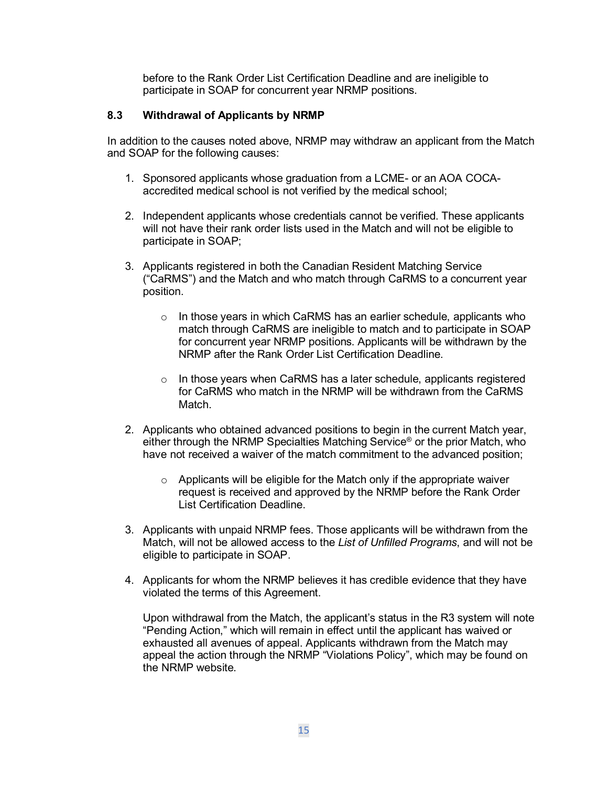before to the Rank Order List Certification Deadline and are ineligible to participate in SOAP for concurrent year NRMP positions.

### **8.3 Withdrawal of Applicants by NRMP**

In addition to the causes noted above, NRMP may withdraw an applicant from the Match and SOAP for the following causes:

- 1. Sponsored applicants whose graduation from a LCME- or an AOA COCAaccredited medical school is not verified by the medical school;
- 2. Independent applicants whose credentials cannot be verified. These applicants will not have their rank order lists used in the Match and will not be eligible to participate in SOAP;
- 3. Applicants registered in both the Canadian Resident Matching Service ("CaRMS") and the Match and who match through CaRMS to a concurrent year position.
	- o In those years in which CaRMS has an earlier schedule, applicants who match through CaRMS are ineligible to match and to participate in SOAP for concurrent year NRMP positions. Applicants will be withdrawn by the NRMP after the Rank Order List Certification Deadline.
	- $\circ$  In those years when CaRMS has a later schedule, applicants registered for CaRMS who match in the NRMP will be withdrawn from the CaRMS Match.
- 2. Applicants who obtained advanced positions to begin in the current Match year, either through the NRMP Specialties Matching Service® or the prior Match, who have not received a waiver of the match commitment to the advanced position;
	- $\circ$  Applicants will be eligible for the Match only if the appropriate waiver request is received and approved by the NRMP before the Rank Order List Certification Deadline.
- 3. Applicants with unpaid NRMP fees. Those applicants will be withdrawn from the Match, will not be allowed access to the *List of Unfilled Programs*, and will not be eligible to participate in SOAP.
- 4. Applicants for whom the NRMP believes it has credible evidence that they have violated the terms of this Agreement.

Upon withdrawal from the Match, the applicant's status in the R3 system will note "Pending Action," which will remain in effect until the applicant has waived or exhausted all avenues of appeal. Applicants withdrawn from the Match may appeal the action through the NRMP "Violations Policy", which may be found on the NRMP website.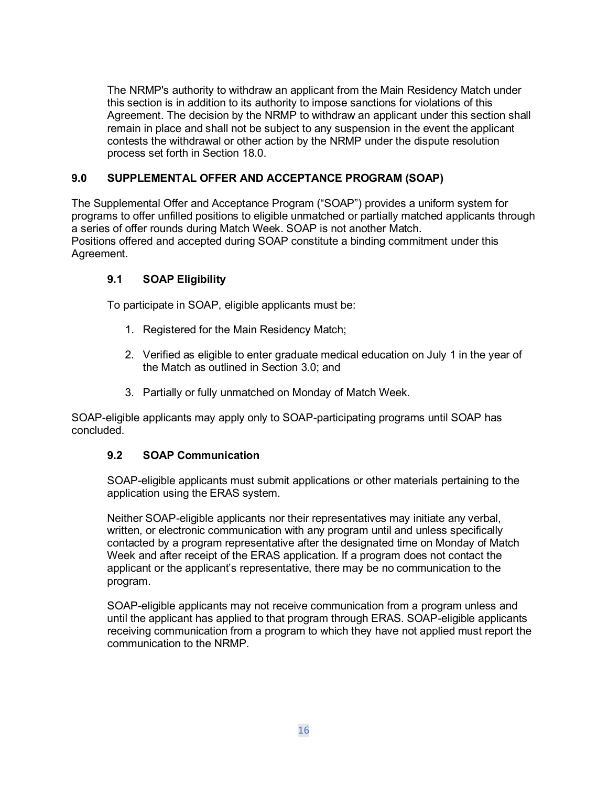The NRMP's authority to withdraw an applicant from the Main Residency Match under this section is in addition to its authority to impose sanctions for violations of this Agreement. The decision by the NRMP to withdraw an applicant under this section shall remain in place and shall not be subject to any suspension in the event the applicant contests the withdrawal or other action by the NRMP under the dispute resolution process set forth in Section 18.0.

# <span id="page-15-0"></span>**9.0 SUPPLEMENTAL OFFER AND ACCEPTANCE PROGRAM (SOAP)**

The Supplemental Offer and Acceptance Program ("SOAP") provides a uniform system for programs to offer unfilled positions to eligible unmatched or partially matched applicants through a series of offer rounds during Match Week. SOAP is not another Match. Positions offered and accepted during SOAP constitute a binding commitment under this Agreement.

# **9.1 SOAP Eligibility**

To participate in SOAP, eligible applicants must be:

- 1. Registered for the Main Residency Match;
- 2. Verified as eligible to enter graduate medical education on July 1 in the year of the Match as outlined in Section 3.0; and
- 3. Partially or fully unmatched on Monday of Match Week.

SOAP-eligible applicants may apply only to SOAP-participating programs until SOAP has concluded.

#### **9.2 SOAP Communication**

SOAP-eligible applicants must submit applications or other materials pertaining to the application using the ERAS system.

Neither SOAP-eligible applicants nor their representatives may initiate any verbal, written, or electronic communication with any program until and unless specifically contacted by a program representative after the designated time on Monday of Match Week and after receipt of the ERAS application. If a program does not contact the applicant or the applicant's representative, there may be no communication to the program.

SOAP-eligible applicants may not receive communication from a program unless and until the applicant has applied to that program through ERAS. SOAP-eligible applicants receiving communication from a program to which they have not applied must report the communication to the NRMP.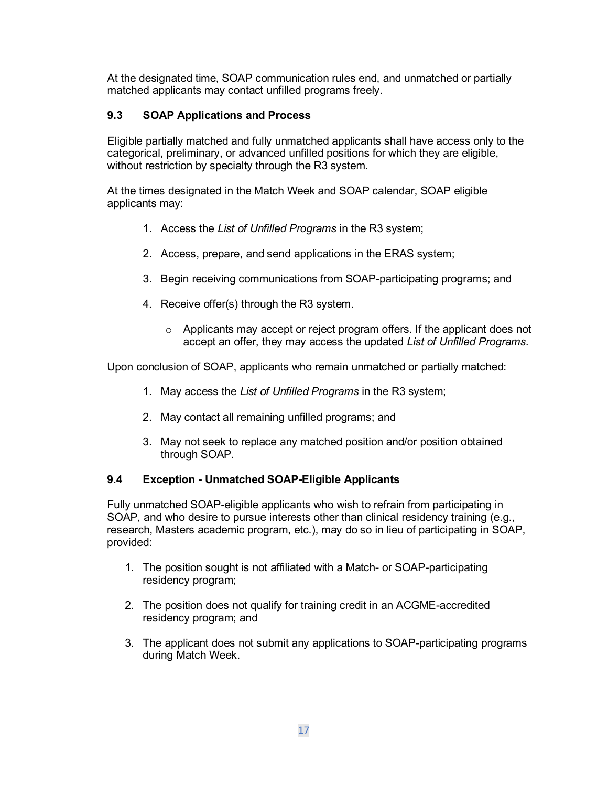At the designated time, SOAP communication rules end, and unmatched or partially matched applicants may contact unfilled programs freely.

# **9.3 SOAP Applications and Process**

Eligible partially matched and fully unmatched applicants shall have access only to the categorical, preliminary, or advanced unfilled positions for which they are eligible, without restriction by specialty through the R3 system.

At the times designated in the Match Week and SOAP calendar, SOAP eligible applicants may:

- 1. Access the *List of Unfilled Programs* in the R3 system;
- 2. Access, prepare, and send applications in the ERAS system;
- 3. Begin receiving communications from SOAP-participating programs; and
- 4. Receive offer(s) through the R3 system.
	- $\circ$  Applicants may accept or reject program offers. If the applicant does not accept an offer, they may access the updated *List of Unfilled Programs*.

Upon conclusion of SOAP, applicants who remain unmatched or partially matched:

- 1. May access the *List of Unfilled Programs* in the R3 system;
- 2. May contact all remaining unfilled programs; and
- 3. May not seek to replace any matched position and/or position obtained through SOAP.

#### **9.4 Exception - Unmatched SOAP-Eligible Applicants**

Fully unmatched SOAP-eligible applicants who wish to refrain from participating in SOAP, and who desire to pursue interests other than clinical residency training (e.g., research, Masters academic program, etc.), may do so in lieu of participating in SOAP, provided:

- 1. The position sought is not affiliated with a Match- or SOAP-participating residency program;
- 2. The position does not qualify for training credit in an ACGME-accredited residency program; and
- 3. The applicant does not submit any applications to SOAP-participating programs during Match Week.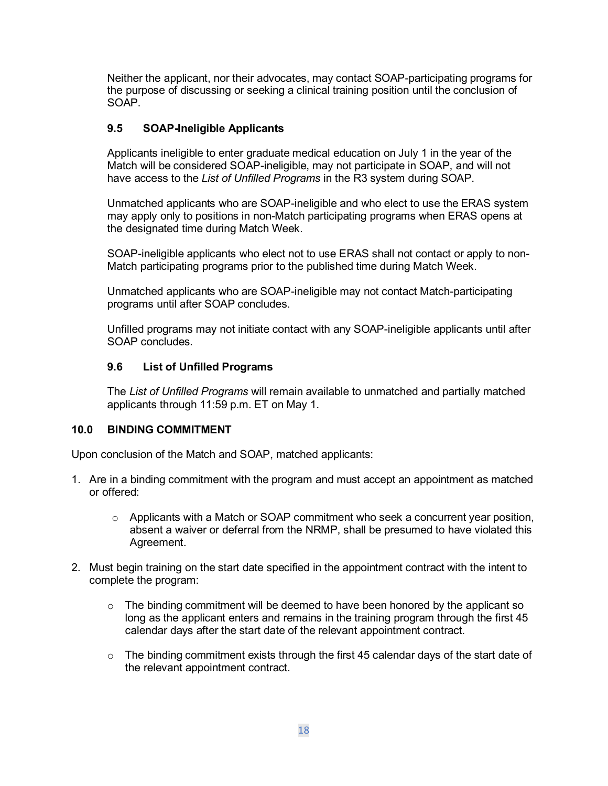Neither the applicant, nor their advocates, may contact SOAP-participating programs for the purpose of discussing or seeking a clinical training position until the conclusion of SOAP.

# **9.5 SOAP-Ineligible Applicants**

Applicants ineligible to enter graduate medical education on July 1 in the year of the Match will be considered SOAP-ineligible, may not participate in SOAP, and will not have access to the *List of Unfilled Programs* in the R3 system during SOAP.

Unmatched applicants who are SOAP-ineligible and who elect to use the ERAS system may apply only to positions in non-Match participating programs when ERAS opens at the designated time during Match Week.

SOAP-ineligible applicants who elect not to use ERAS shall not contact or apply to non-Match participating programs prior to the published time during Match Week.

Unmatched applicants who are SOAP-ineligible may not contact Match-participating programs until after SOAP concludes.

Unfilled programs may not initiate contact with any SOAP-ineligible applicants until after SOAP concludes.

#### **9.6 List of Unfilled Programs**

The *List of Unfilled Programs* will remain available to unmatched and partially matched applicants through 11:59 p.m. ET on May 1.

#### <span id="page-17-0"></span>**10.0 BINDING COMMITMENT**

Upon conclusion of the Match and SOAP, matched applicants:

- 1. Are in a binding commitment with the program and must accept an appointment as matched or offered:
	- o Applicants with a Match or SOAP commitment who seek a concurrent year position, absent a waiver or deferral from the NRMP, shall be presumed to have violated this Agreement.
- 2. Must begin training on the start date specified in the appointment contract with the intent to complete the program:
	- $\circ$  The binding commitment will be deemed to have been honored by the applicant so long as the applicant enters and remains in the training program through the first 45 calendar days after the start date of the relevant appointment contract.
	- $\circ$  The binding commitment exists through the first 45 calendar days of the start date of the relevant appointment contract.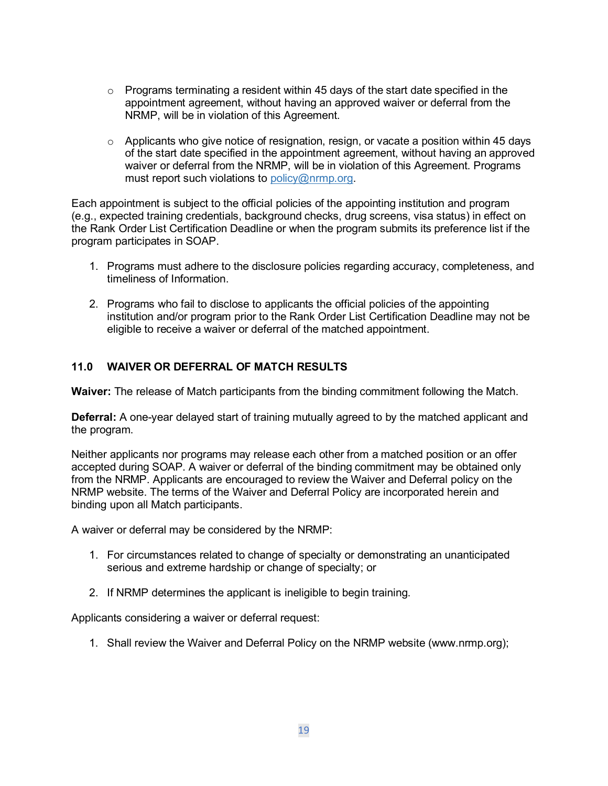- $\circ$  Programs terminating a resident within 45 days of the start date specified in the appointment agreement, without having an approved waiver or deferral from the NRMP, will be in violation of this Agreement.
- $\circ$  Applicants who give notice of resignation, resign, or vacate a position within 45 days of the start date specified in the appointment agreement, without having an approved waiver or deferral from the NRMP, will be in violation of this Agreement. Programs must report such violations to [policy@nrmp.org.](mailto:policy@nrmp.org)

Each appointment is subject to the official policies of the appointing institution and program (e.g., expected training credentials, background checks, drug screens, visa status) in effect on the Rank Order List Certification Deadline or when the program submits its preference list if the program participates in SOAP.

- 1. Programs must adhere to the disclosure policies regarding accuracy, completeness, and timeliness of Information.
- 2. Programs who fail to disclose to applicants the official policies of the appointing institution and/or program prior to the Rank Order List Certification Deadline may not be eligible to receive a waiver or deferral of the matched appointment.

# <span id="page-18-0"></span>**11.0 WAIVER OR DEFERRAL OF MATCH RESULTS**

**Waiver:** The release of Match participants from the binding commitment following the Match.

**Deferral:** A one-year delayed start of training mutually agreed to by the matched applicant and the program.

Neither applicants nor programs may release each other from a matched position or an offer accepted during SOAP. A waiver or deferral of the binding commitment may be obtained only from the NRMP. Applicants are encouraged to review the Waiver and Deferral policy on the NRMP website. The terms of the Waiver and Deferral Policy are incorporated herein and binding upon all Match participants.

A waiver or deferral may be considered by the NRMP:

- 1. For circumstances related to change of specialty or demonstrating an unanticipated serious and extreme hardship or change of specialty; or
- 2. If NRMP determines the applicant is ineligible to begin training.

Applicants considering a waiver or deferral request:

1. Shall review the Waiver and Deferral Policy on the NRMP website (www.nrmp.org);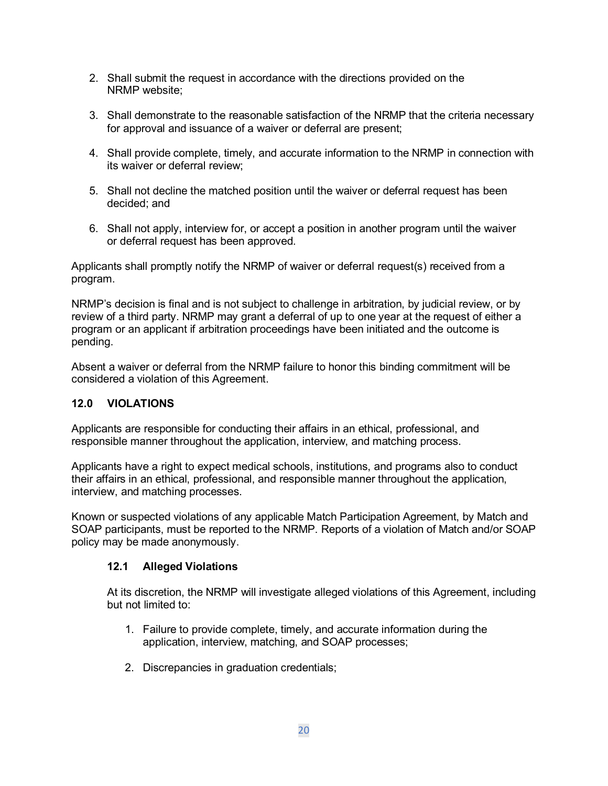- 2. Shall submit the request in accordance with the directions provided on the NRMP website;
- 3. Shall demonstrate to the reasonable satisfaction of the NRMP that the criteria necessary for approval and issuance of a waiver or deferral are present;
- 4. Shall provide complete, timely, and accurate information to the NRMP in connection with its waiver or deferral review;
- 5. Shall not decline the matched position until the waiver or deferral request has been decided; and
- 6. Shall not apply, interview for, or accept a position in another program until the waiver or deferral request has been approved.

Applicants shall promptly notify the NRMP of waiver or deferral request(s) received from a program.

NRMP's decision is final and is not subject to challenge in arbitration, by judicial review, or by review of a third party. NRMP may grant a deferral of up to one year at the request of either a program or an applicant if arbitration proceedings have been initiated and the outcome is pending.

Absent a waiver or deferral from the NRMP failure to honor this binding commitment will be considered a violation of this Agreement.

# <span id="page-19-0"></span>**12.0 VIOLATIONS**

Applicants are responsible for conducting their affairs in an ethical, professional, and responsible manner throughout the application, interview, and matching process.

Applicants have a right to expect medical schools, institutions, and programs also to conduct their affairs in an ethical, professional, and responsible manner throughout the application, interview, and matching processes.

Known or suspected violations of any applicable Match Participation Agreement, by Match and SOAP participants, must be reported to the NRMP. Reports of a violation of Match and/or SOAP policy may be made anonymously.

#### **12.1 Alleged Violations**

At its discretion, the NRMP will investigate alleged violations of this Agreement, including but not limited to:

- 1. Failure to provide complete, timely, and accurate information during the application, interview, matching, and SOAP processes;
- 2. Discrepancies in graduation credentials;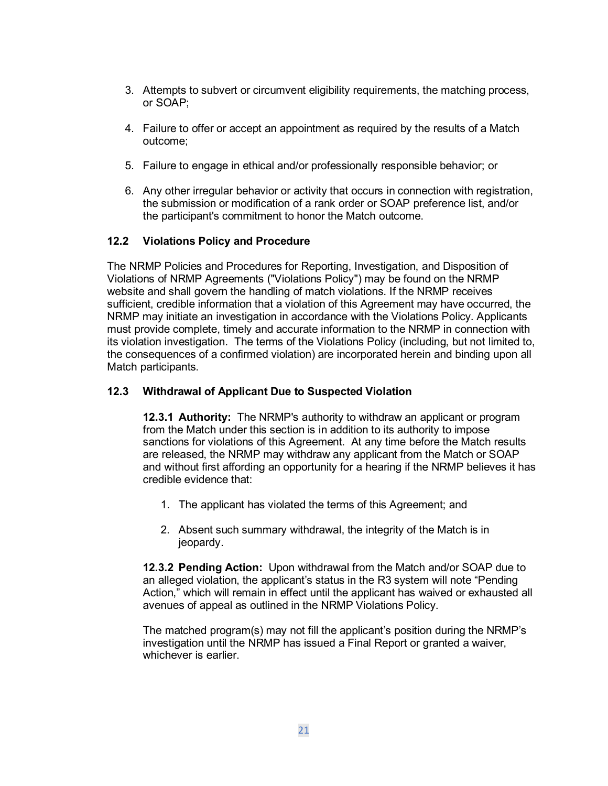- 3. Attempts to subvert or circumvent eligibility requirements, the matching process, or SOAP;
- 4. Failure to offer or accept an appointment as required by the results of a Match outcome;
- 5. Failure to engage in ethical and/or professionally responsible behavior; or
- 6. Any other irregular behavior or activity that occurs in connection with registration, the submission or modification of a rank order or SOAP preference list, and/or the participant's commitment to honor the Match outcome.

#### **12.2 Violations Policy and Procedure**

The NRMP Policies and Procedures for Reporting, Investigation, and Disposition of Violations of NRMP Agreements ("Violations Policy") may be found on the NRMP website and shall govern the handling of match violations. If the NRMP receives sufficient, credible information that a violation of this Agreement may have occurred, the NRMP may initiate an investigation in accordance with the Violations Policy. Applicants must provide complete, timely and accurate information to the NRMP in connection with its violation investigation. The terms of the Violations Policy (including, but not limited to, the consequences of a confirmed violation) are incorporated herein and binding upon all Match participants.

#### **12.3 Withdrawal of Applicant Due to Suspected Violation**

**12.3.1 Authority:** The NRMP's authority to withdraw an applicant or program from the Match under this section is in addition to its authority to impose sanctions for violations of this Agreement. At any time before the Match results are released, the NRMP may withdraw any applicant from the Match or SOAP and without first affording an opportunity for a hearing if the NRMP believes it has credible evidence that:

- 1. The applicant has violated the terms of this Agreement; and
- 2. Absent such summary withdrawal, the integrity of the Match is in jeopardy.

**12.3.2 Pending Action:** Upon withdrawal from the Match and/or SOAP due to an alleged violation, the applicant's status in the R3 system will note "Pending Action," which will remain in effect until the applicant has waived or exhausted all avenues of appeal as outlined in the NRMP Violations Policy.

The matched program(s) may not fill the applicant's position during the NRMP's investigation until the NRMP has issued a Final Report or granted a waiver, whichever is earlier.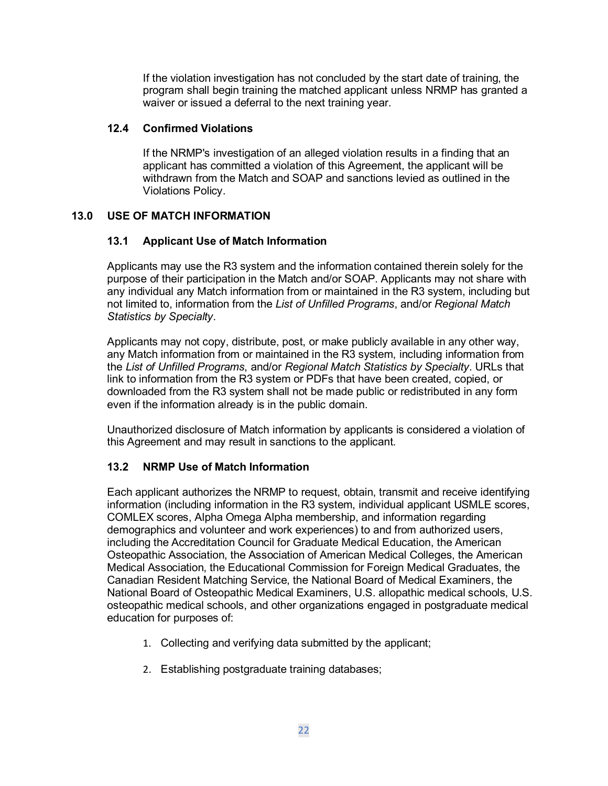If the violation investigation has not concluded by the start date of training, the program shall begin training the matched applicant unless NRMP has granted a waiver or issued a deferral to the next training year.

# **12.4 Confirmed Violations**

If the NRMP's investigation of an alleged violation results in a finding that an applicant has committed a violation of this Agreement, the applicant will be withdrawn from the Match and SOAP and sanctions levied as outlined in the Violations Policy.

# <span id="page-21-0"></span>**13.0 USE OF MATCH INFORMATION**

# **13.1 Applicant Use of Match Information**

Applicants may use the R3 system and the information contained therein solely for the purpose of their participation in the Match and/or SOAP. Applicants may not share with any individual any Match information from or maintained in the R3 system, including but not limited to, information from the *List of Unfilled Programs*, and/or *Regional Match Statistics by Specialty*.

Applicants may not copy, distribute, post, or make publicly available in any other way, any Match information from or maintained in the R3 system, including information from the *List of Unfilled Programs*, and/or *Regional Match Statistics by Specialty*. URLs that link to information from the R3 system or PDFs that have been created, copied, or downloaded from the R3 system shall not be made public or redistributed in any form even if the information already is in the public domain.

Unauthorized disclosure of Match information by applicants is considered a violation of this Agreement and may result in sanctions to the applicant.

# **13.2 NRMP Use of Match Information**

Each applicant authorizes the NRMP to request, obtain, transmit and receive identifying information (including information in the R3 system, individual applicant USMLE scores, COMLEX scores, Alpha Omega Alpha membership, and information regarding demographics and volunteer and work experiences) to and from authorized users, including the Accreditation Council for Graduate Medical Education, the American Osteopathic Association, the Association of American Medical Colleges, the American Medical Association, the Educational Commission for Foreign Medical Graduates, the Canadian Resident Matching Service, the National Board of Medical Examiners, the National Board of Osteopathic Medical Examiners, U.S. allopathic medical schools, U.S. osteopathic medical schools, and other organizations engaged in postgraduate medical education for purposes of:

- 1. Collecting and verifying data submitted by the applicant;
- 2. Establishing postgraduate training databases;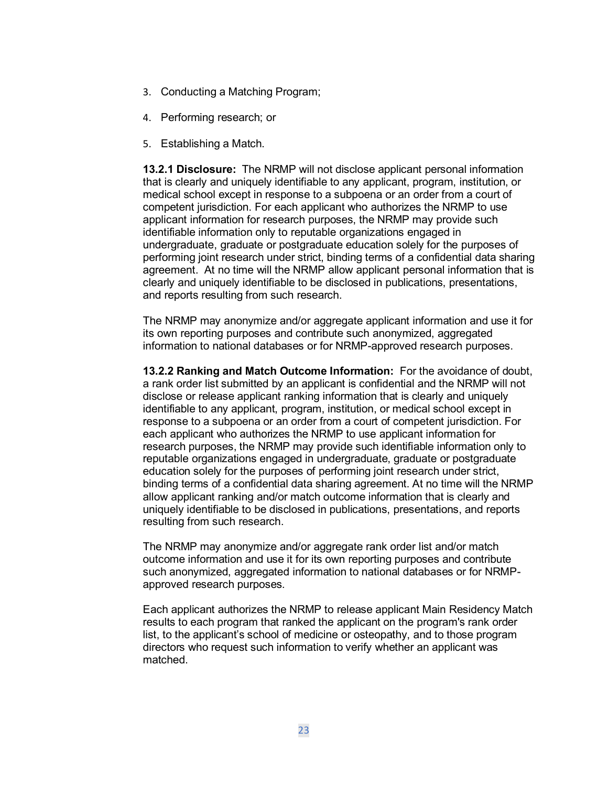- 3. Conducting a Matching Program;
- 4. Performing research; or
- 5. Establishing a Match.

**13.2.1 Disclosure:** The NRMP will not disclose applicant personal information that is clearly and uniquely identifiable to any applicant, program, institution, or medical school except in response to a subpoena or an order from a court of competent jurisdiction. For each applicant who authorizes the NRMP to use applicant information for research purposes, the NRMP may provide such identifiable information only to reputable organizations engaged in undergraduate, graduate or postgraduate education solely for the purposes of performing joint research under strict, binding terms of a confidential data sharing agreement. At no time will the NRMP allow applicant personal information that is clearly and uniquely identifiable to be disclosed in publications, presentations, and reports resulting from such research.

The NRMP may anonymize and/or aggregate applicant information and use it for its own reporting purposes and contribute such anonymized, aggregated information to national databases or for NRMP-approved research purposes.

**13.2.2 Ranking and Match Outcome Information:** For the avoidance of doubt, a rank order list submitted by an applicant is confidential and the NRMP will not disclose or release applicant ranking information that is clearly and uniquely identifiable to any applicant, program, institution, or medical school except in response to a subpoena or an order from a court of competent jurisdiction. For each applicant who authorizes the NRMP to use applicant information for research purposes, the NRMP may provide such identifiable information only to reputable organizations engaged in undergraduate, graduate or postgraduate education solely for the purposes of performing joint research under strict, binding terms of a confidential data sharing agreement. At no time will the NRMP allow applicant ranking and/or match outcome information that is clearly and uniquely identifiable to be disclosed in publications, presentations, and reports resulting from such research.

The NRMP may anonymize and/or aggregate rank order list and/or match outcome information and use it for its own reporting purposes and contribute such anonymized, aggregated information to national databases or for NRMPapproved research purposes.

Each applicant authorizes the NRMP to release applicant Main Residency Match results to each program that ranked the applicant on the program's rank order list, to the applicant's school of medicine or osteopathy, and to those program directors who request such information to verify whether an applicant was matched.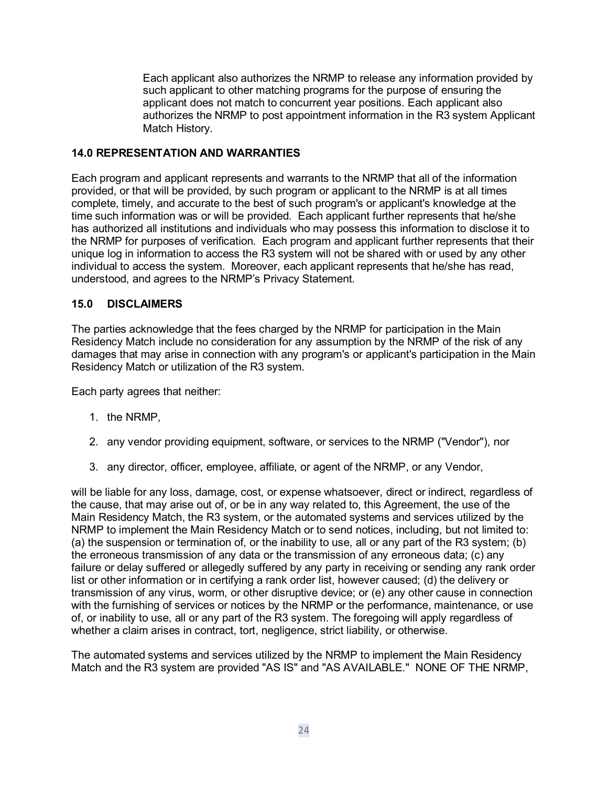Each applicant also authorizes the NRMP to release any information provided by such applicant to other matching programs for the purpose of ensuring the applicant does not match to concurrent year positions. Each applicant also authorizes the NRMP to post appointment information in the R3 system Applicant Match History.

# <span id="page-23-0"></span>**14.0 REPRESENTATION AND WARRANTIES**

Each program and applicant represents and warrants to the NRMP that all of the information provided, or that will be provided, by such program or applicant to the NRMP is at all times complete, timely, and accurate to the best of such program's or applicant's knowledge at the time such information was or will be provided. Each applicant further represents that he/she has authorized all institutions and individuals who may possess this information to disclose it to the NRMP for purposes of verification. Each program and applicant further represents that their unique log in information to access the R3 system will not be shared with or used by any other individual to access the system. Moreover, each applicant represents that he/she has read, understood, and agrees to the NRMP's Privacy Statement.

# <span id="page-23-1"></span>**15.0 DISCLAIMERS**

The parties acknowledge that the fees charged by the NRMP for participation in the Main Residency Match include no consideration for any assumption by the NRMP of the risk of any damages that may arise in connection with any program's or applicant's participation in the Main Residency Match or utilization of the R3 system.

Each party agrees that neither:

- 1. the NRMP,
- 2. any vendor providing equipment, software, or services to the NRMP ("Vendor"), nor
- 3. any director, officer, employee, affiliate, or agent of the NRMP, or any Vendor,

will be liable for any loss, damage, cost, or expense whatsoever, direct or indirect, regardless of the cause, that may arise out of, or be in any way related to, this Agreement, the use of the Main Residency Match, the R3 system, or the automated systems and services utilized by the NRMP to implement the Main Residency Match or to send notices, including, but not limited to: (a) the suspension or termination of, or the inability to use, all or any part of the R3 system; (b) the erroneous transmission of any data or the transmission of any erroneous data; (c) any failure or delay suffered or allegedly suffered by any party in receiving or sending any rank order list or other information or in certifying a rank order list, however caused; (d) the delivery or transmission of any virus, worm, or other disruptive device; or (e) any other cause in connection with the furnishing of services or notices by the NRMP or the performance, maintenance, or use of, or inability to use, all or any part of the R3 system. The foregoing will apply regardless of whether a claim arises in contract, tort, negligence, strict liability, or otherwise.

The automated systems and services utilized by the NRMP to implement the Main Residency Match and the R3 system are provided "AS IS" and "AS AVAILABLE." NONE OF THE NRMP,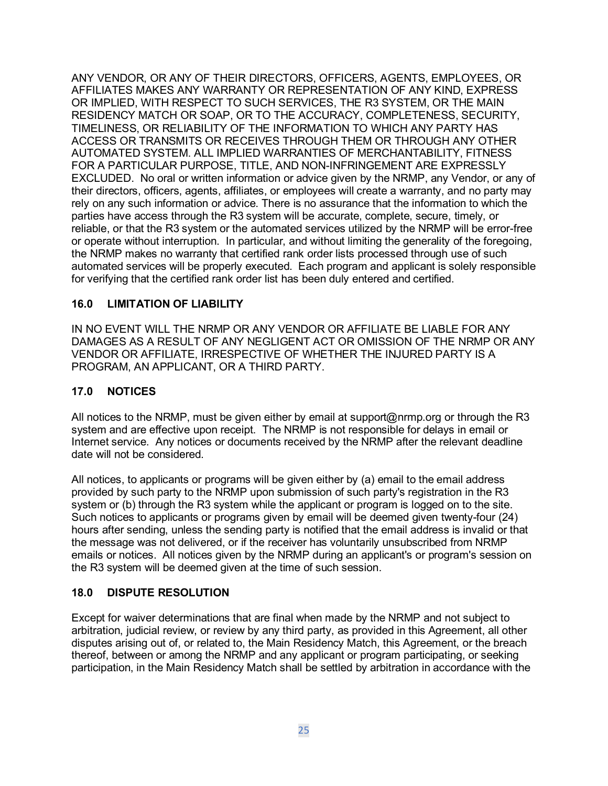ANY VENDOR, OR ANY OF THEIR DIRECTORS, OFFICERS, AGENTS, EMPLOYEES, OR AFFILIATES MAKES ANY WARRANTY OR REPRESENTATION OF ANY KIND, EXPRESS OR IMPLIED, WITH RESPECT TO SUCH SERVICES, THE R3 SYSTEM, OR THE MAIN RESIDENCY MATCH OR SOAP, OR TO THE ACCURACY, COMPLETENESS, SECURITY, TIMELINESS, OR RELIABILITY OF THE INFORMATION TO WHICH ANY PARTY HAS ACCESS OR TRANSMITS OR RECEIVES THROUGH THEM OR THROUGH ANY OTHER AUTOMATED SYSTEM. ALL IMPLIED WARRANTIES OF MERCHANTABILITY, FITNESS FOR A PARTICULAR PURPOSE, TITLE, AND NON-INFRINGEMENT ARE EXPRESSLY EXCLUDED. No oral or written information or advice given by the NRMP, any Vendor, or any of their directors, officers, agents, affiliates, or employees will create a warranty, and no party may rely on any such information or advice. There is no assurance that the information to which the parties have access through the R3 system will be accurate, complete, secure, timely, or reliable, or that the R3 system or the automated services utilized by the NRMP will be error-free or operate without interruption. In particular, and without limiting the generality of the foregoing, the NRMP makes no warranty that certified rank order lists processed through use of such automated services will be properly executed. Each program and applicant is solely responsible for verifying that the certified rank order list has been duly entered and certified.

# <span id="page-24-0"></span>**16.0 LIMITATION OF LIABILITY**

IN NO EVENT WILL THE NRMP OR ANY VENDOR OR AFFILIATE BE LIABLE FOR ANY DAMAGES AS A RESULT OF ANY NEGLIGENT ACT OR OMISSION OF THE NRMP OR ANY VENDOR OR AFFILIATE, IRRESPECTIVE OF WHETHER THE INJURED PARTY IS A PROGRAM, AN APPLICANT, OR A THIRD PARTY.

# <span id="page-24-1"></span>**17.0 NOTICES**

All notices to the NRMP, must be given either by email at support@nrmp.org or through the R3 system and are effective upon receipt. The NRMP is not responsible for delays in email or Internet service. Any notices or documents received by the NRMP after the relevant deadline date will not be considered.

All notices, to applicants or programs will be given either by (a) email to the email address provided by such party to the NRMP upon submission of such party's registration in the R3 system or (b) through the R3 system while the applicant or program is logged on to the site. Such notices to applicants or programs given by email will be deemed given twenty-four (24) hours after sending, unless the sending party is notified that the email address is invalid or that the message was not delivered, or if the receiver has voluntarily unsubscribed from NRMP emails or notices. All notices given by the NRMP during an applicant's or program's session on the R3 system will be deemed given at the time of such session.

#### <span id="page-24-2"></span>**18.0 DISPUTE RESOLUTION**

Except for waiver determinations that are final when made by the NRMP and not subject to arbitration, judicial review, or review by any third party, as provided in this Agreement, all other disputes arising out of, or related to, the Main Residency Match, this Agreement, or the breach thereof, between or among the NRMP and any applicant or program participating, or seeking participation, in the Main Residency Match shall be settled by arbitration in accordance with the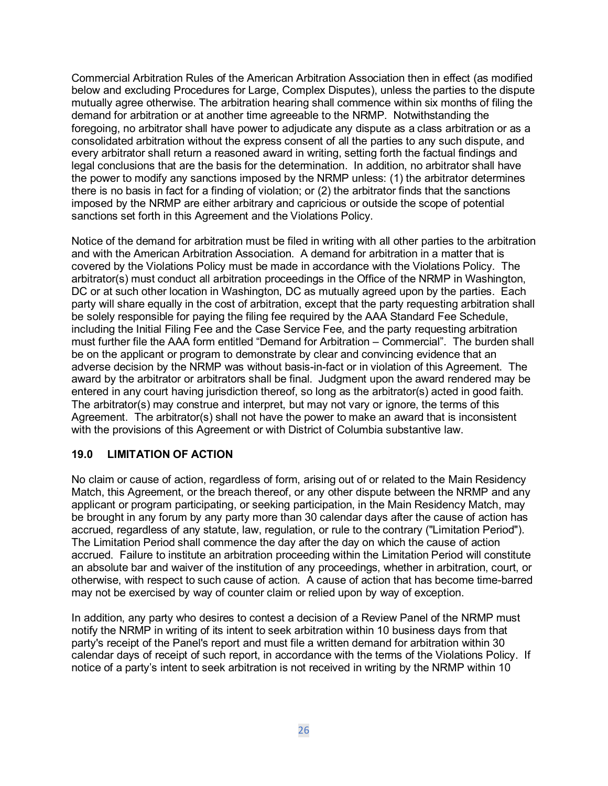Commercial Arbitration Rules of the American Arbitration Association then in effect (as modified below and excluding Procedures for Large, Complex Disputes), unless the parties to the dispute mutually agree otherwise. The arbitration hearing shall commence within six months of filing the demand for arbitration or at another time agreeable to the NRMP. Notwithstanding the foregoing, no arbitrator shall have power to adjudicate any dispute as a class arbitration or as a consolidated arbitration without the express consent of all the parties to any such dispute, and every arbitrator shall return a reasoned award in writing, setting forth the factual findings and legal conclusions that are the basis for the determination. In addition, no arbitrator shall have the power to modify any sanctions imposed by the NRMP unless: (1) the arbitrator determines there is no basis in fact for a finding of violation; or (2) the arbitrator finds that the sanctions imposed by the NRMP are either arbitrary and capricious or outside the scope of potential sanctions set forth in this Agreement and the Violations Policy.

Notice of the demand for arbitration must be filed in writing with all other parties to the arbitration and with the American Arbitration Association. A demand for arbitration in a matter that is covered by the Violations Policy must be made in accordance with the Violations Policy. The arbitrator(s) must conduct all arbitration proceedings in the Office of the NRMP in Washington, DC or at such other location in Washington, DC as mutually agreed upon by the parties. Each party will share equally in the cost of arbitration, except that the party requesting arbitration shall be solely responsible for paying the filing fee required by the AAA Standard Fee Schedule, including the Initial Filing Fee and the Case Service Fee, and the party requesting arbitration must further file the AAA form entitled "Demand for Arbitration – Commercial". The burden shall be on the applicant or program to demonstrate by clear and convincing evidence that an adverse decision by the NRMP was without basis-in-fact or in violation of this Agreement. The award by the arbitrator or arbitrators shall be final. Judgment upon the award rendered may be entered in any court having jurisdiction thereof, so long as the arbitrator(s) acted in good faith. The arbitrator(s) may construe and interpret, but may not vary or ignore, the terms of this Agreement. The arbitrator(s) shall not have the power to make an award that is inconsistent with the provisions of this Agreement or with District of Columbia substantive law.

#### <span id="page-25-0"></span>**19.0 LIMITATION OF ACTION**

No claim or cause of action, regardless of form, arising out of or related to the Main Residency Match, this Agreement, or the breach thereof, or any other dispute between the NRMP and any applicant or program participating, or seeking participation, in the Main Residency Match, may be brought in any forum by any party more than 30 calendar days after the cause of action has accrued, regardless of any statute, law, regulation, or rule to the contrary ("Limitation Period"). The Limitation Period shall commence the day after the day on which the cause of action accrued. Failure to institute an arbitration proceeding within the Limitation Period will constitute an absolute bar and waiver of the institution of any proceedings, whether in arbitration, court, or otherwise, with respect to such cause of action. A cause of action that has become time-barred may not be exercised by way of counter claim or relied upon by way of exception.

In addition, any party who desires to contest a decision of a Review Panel of the NRMP must notify the NRMP in writing of its intent to seek arbitration within 10 business days from that party's receipt of the Panel's report and must file a written demand for arbitration within 30 calendar days of receipt of such report, in accordance with the terms of the Violations Policy. If notice of a party's intent to seek arbitration is not received in writing by the NRMP within 10